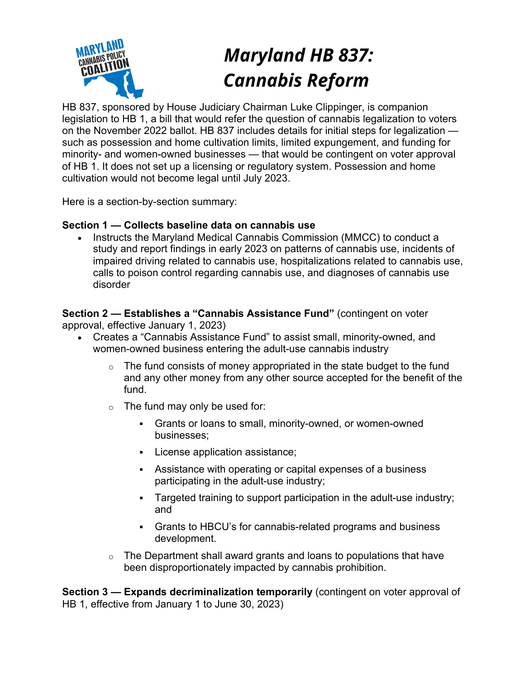

# **Maryland HB 837: Cannabis Reform**

HB 837, sponsored by House Judiciary Chairman Luke Clippinger, is companion legislation to HB 1, a bill that would refer the question of cannabis legalization to voters on the November 2022 ballot. HB 837 includes details for initial steps for legalization such as possession and home cultivation limits, limited expungement, and funding for minority- and women-owned businesses — that would be contingent on voter approval of HB 1. It does not set up a licensing or regulatory system. Possession and home cultivation would not become legal until July 2023.

Here is a section-by-section summary:

## **Section 1 — Collects baseline data on cannabis use**

• Instructs the Maryland Medical Cannabis Commission (MMCC) to conduct a study and report findings in early 2023 on patterns of cannabis use, incidents of impaired driving related to cannabis use, hospitalizations related to cannabis use, calls to poison control regarding cannabis use, and diagnoses of cannabis use disorder

**Section 2 — Establishes a "Cannabis Assistance Fund"** (contingent on voter approval, effective January 1, 2023)

- Creates a "Cannabis Assistance Fund" to assist small, minority-owned, and women-owned business entering the adult-use cannabis industry
	- $\circ$  The fund consists of money appropriated in the state budget to the fund and any other money from any other source accepted for the benefit of the fund.
	- $\circ$  The fund may only be used for:
		- § Grants or loans to small, minority-owned, or women-owned businesses;
		- § License application assistance;
		- Assistance with operating or capital expenses of a business participating in the adult-use industry;
		- Targeted training to support participation in the adult-use industry; and
		- § Grants to HBCU's for cannabis-related programs and business development.
	- $\circ$  The Department shall award grants and loans to populations that have been disproportionately impacted by cannabis prohibition.

**Section 3 — Expands decriminalization temporarily** (contingent on voter approval of HB 1, effective from January 1 to June 30, 2023)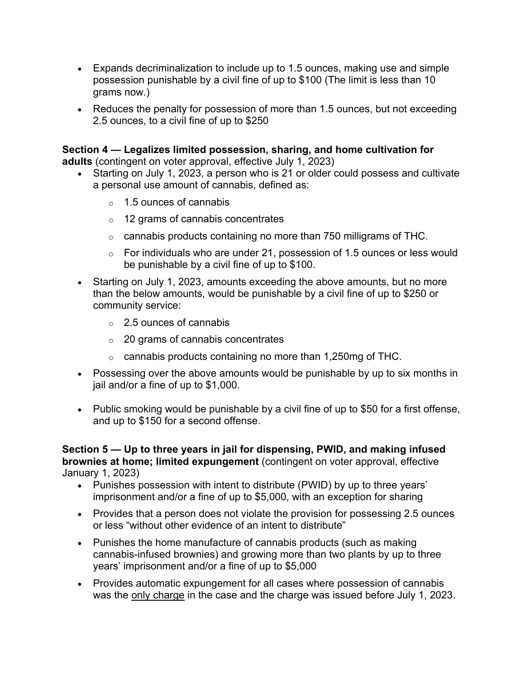- Expands decriminalization to include up to 1.5 ounces, making use and simple possession punishable by a civil fine of up to \$100 (The limit is less than 10 grams now.)
- Reduces the penalty for possession of more than 1.5 ounces, but not exceeding 2.5 ounces, to a civil fine of up to \$250

**Section 4 — Legalizes limited possession, sharing, and home cultivation for adults** (contingent on voter approval, effective July 1, 2023)

- Starting on July 1, 2023, a person who is 21 or older could possess and cultivate a personal use amount of cannabis, defined as:
	- $\circ$  1.5 ounces of cannabis
	- o 12 grams of cannabis concentrates
	- o cannabis products containing no more than 750 milligrams of THC.
	- $\circ$  For individuals who are under 21, possession of 1.5 ounces or less would be punishable by a civil fine of up to \$100.
- Starting on July 1, 2023, amounts exceeding the above amounts, but no more than the below amounts, would be punishable by a civil fine of up to \$250 or community service:
	- $\circ$  2.5 ounces of cannabis
	- o 20 grams of cannabis concentrates
	- o cannabis products containing no more than 1,250mg of THC.
- Possessing over the above amounts would be punishable by up to six months in jail and/or a fine of up to \$1,000.
- Public smoking would be punishable by a civil fine of up to \$50 for a first offense, and up to \$150 for a second offense.

**Section 5 — Up to three years in jail for dispensing, PWID, and making infused brownies at home; limited expungement** (contingent on voter approval, effective January 1, 2023)

- Punishes possession with intent to distribute (PWID) by up to three years' imprisonment and/or a fine of up to \$5,000, with an exception for sharing
- Provides that a person does not violate the provision for possessing 2.5 ounces or less "without other evidence of an intent to distribute"
- Punishes the home manufacture of cannabis products (such as making cannabis-infused brownies) and growing more than two plants by up to three years' imprisonment and/or a fine of up to \$5,000
- Provides automatic expungement for all cases where possession of cannabis was the only charge in the case and the charge was issued before July 1, 2023.